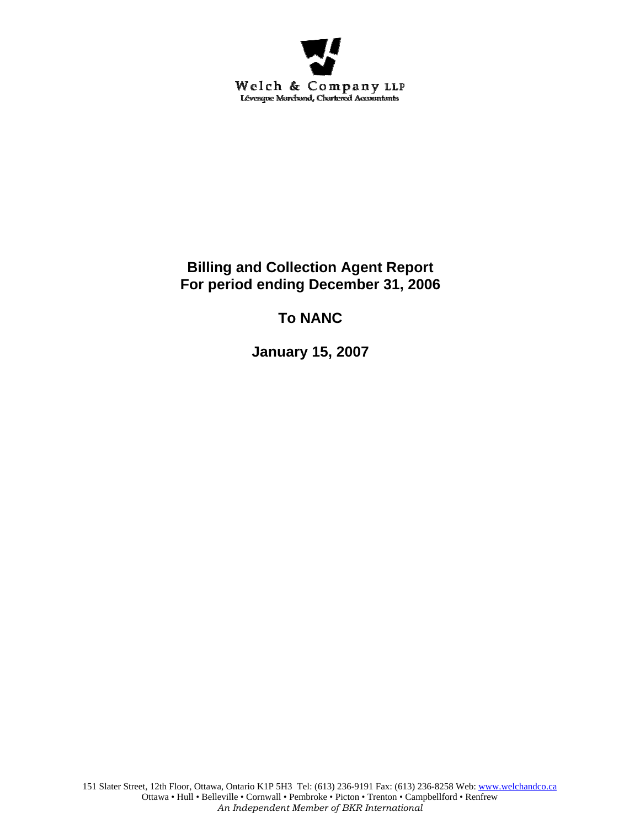

# **Billing and Collection Agent Report For period ending December 31, 2006**

# **To NANC**

**January 15, 2007**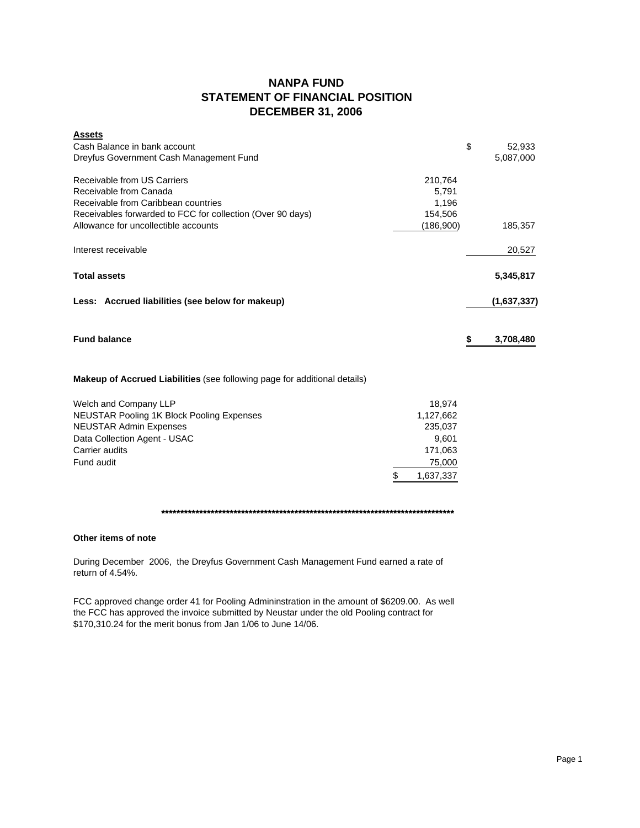## **NANPA FUND STATEMENT OF FINANCIAL POSITION DECEMBER 31, 2006**

| <b>Assets</b><br>Cash Balance in bank account<br>Dreyfus Government Cash Management Fund                                                                                                           |                                                                                 | \$<br>52,933<br>5,087,000 |
|----------------------------------------------------------------------------------------------------------------------------------------------------------------------------------------------------|---------------------------------------------------------------------------------|---------------------------|
| Receivable from US Carriers<br>Receivable from Canada<br>Receivable from Caribbean countries<br>Receivables forwarded to FCC for collection (Over 90 days)<br>Allowance for uncollectible accounts | 210,764<br>5,791<br>1,196<br>154,506<br>(186,900)                               | 185,357                   |
| Interest receivable                                                                                                                                                                                |                                                                                 | 20,527                    |
| <b>Total assets</b>                                                                                                                                                                                |                                                                                 | 5,345,817                 |
| Less: Accrued liabilities (see below for makeup)                                                                                                                                                   |                                                                                 | (1,637,337)               |
| <b>Fund balance</b>                                                                                                                                                                                |                                                                                 | \$<br>3,708,480           |
| <b>Makeup of Accrued Liabilities</b> (see following page for additional details)                                                                                                                   |                                                                                 |                           |
| Welch and Company LLP<br><b>NEUSTAR Pooling 1K Block Pooling Expenses</b><br><b>NEUSTAR Admin Expenses</b><br>Data Collection Agent - USAC<br>Carrier audits<br>Fund audit                         | \$<br>18,974<br>1,127,662<br>235,037<br>9,601<br>171,063<br>75,000<br>1,637,337 |                           |

**\*\*\*\*\*\*\*\*\*\*\*\*\*\*\*\*\*\*\*\*\*\*\*\*\*\*\*\*\*\*\*\*\*\*\*\*\*\*\*\*\*\*\*\*\*\*\*\*\*\*\*\*\*\*\*\*\*\*\*\*\*\*\*\*\*\*\*\*\*\*\*\*\*\*\*\*\***

### **Other items of note**

During December 2006, the Dreyfus Government Cash Management Fund earned a rate of return of 4.54%.

FCC approved change order 41 for Pooling Admininstration in the amount of \$6209.00. As well the FCC has approved the invoice submitted by Neustar under the old Pooling contract for \$170,310.24 for the merit bonus from Jan 1/06 to June 14/06.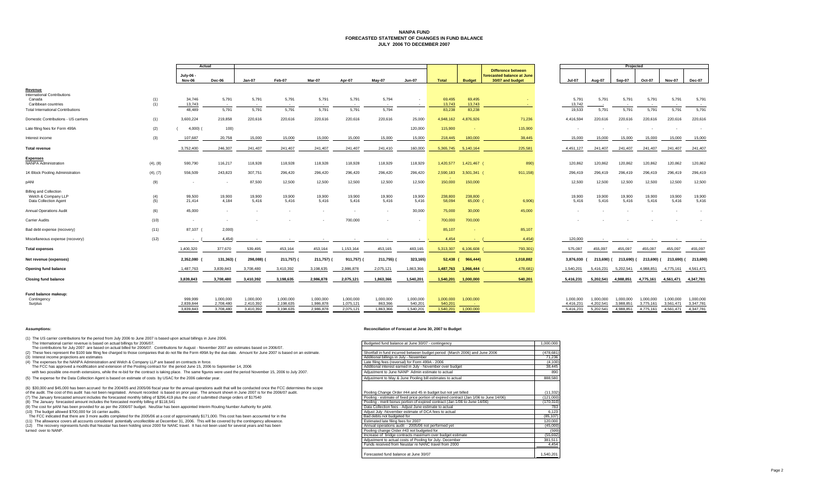#### **NANPA FUND FORECASTED STATEMENT OF CHANGES IN FUND BALANCEJULY 2006 TO DECEMBER 2007**

|                                                                               |            |                                   | Actual                              |                                     |                                     |                                     |                                     |                                   |                                   |                                   |                        | Projected                                                                   |                                     |                                     |                                     |                                     |                                     |                                     |
|-------------------------------------------------------------------------------|------------|-----------------------------------|-------------------------------------|-------------------------------------|-------------------------------------|-------------------------------------|-------------------------------------|-----------------------------------|-----------------------------------|-----------------------------------|------------------------|-----------------------------------------------------------------------------|-------------------------------------|-------------------------------------|-------------------------------------|-------------------------------------|-------------------------------------|-------------------------------------|
|                                                                               |            | July-06 -<br>Nov-06               | Dec-06                              | Jan-07                              | Feb-07                              | Mar-07                              | Apr-07                              | May-07                            | <b>Jun-07</b>                     | <b>Total</b>                      | <b>Budget</b>          | <b>Difference between</b><br>forecasted balance at June<br>30/07 and budget | <b>Jul-07</b>                       | Aug-07                              | Sep-07                              | Oct-07                              | Nov-07                              | <b>Dec-07</b>                       |
| Revenue                                                                       |            |                                   |                                     |                                     |                                     |                                     |                                     |                                   |                                   |                                   |                        |                                                                             |                                     |                                     |                                     |                                     |                                     |                                     |
| International Contributions<br>Canada<br>Caribbean countries                  | (1)<br>(1) | 34,746<br>13,743                  | 5,791<br>$\sim$                     | 5,791<br>$\sim$                     | 5,791                               | 5,791                               | 5,791                               | 5,794                             |                                   | 69,495<br>13,743                  | 69,495<br>13,743       | n.                                                                          | 5,791<br>13,742                     | 5,791                               | 5,791<br>$\sim$                     | 5,791                               | 5,791                               | 5,79'<br>$\sim$                     |
| <b>Total International Contributions</b>                                      |            | 48.489                            | 5,791                               | 5,791                               | 5,791                               | 5,791                               | 5,791                               | 5,794                             |                                   | 83,238                            | 83,238                 |                                                                             | 19,533                              | 5,791                               | 5,791                               | 5,791                               | 5,791                               | 5,791                               |
| Domestic Contributions - US carriers                                          | (1)        | 3,600,224                         | 219,858                             | 220,616                             | 220,616                             | 220,616                             | 220,616                             | 220,616                           | 25,000                            | 4,948,162                         | 4,876,926              | 71,236                                                                      | 4,416,594                           | 220,616                             | 220,616                             | 220,616                             | 220,616                             | 220,616                             |
| Late filing fees for Form 499A                                                | (2)        | 4,000)                            | 100)                                |                                     |                                     |                                     |                                     |                                   | 120,000                           | 115,900                           | $\sim$                 | 115,900                                                                     |                                     |                                     |                                     | $\sim$                              |                                     | $\sim$                              |
| nterest income                                                                | (3)        | 107,687                           | 20,758                              | 15,000                              | 15,000                              | 15,000                              | 15,000                              | 15,000                            | 15,000                            | 218,445                           | 180,000                | 38,445                                                                      | 15,000                              | 15,000                              | 15,000                              | 15,000                              | 15,000                              | 15,000                              |
| <b>Total revenue</b>                                                          |            | 3,752,400                         | 246,307                             | 241,407                             | 241,407                             | 241,407                             | 241,407                             | 241,410                           | 160,000                           | 5,365,745                         | 5,140,164              | 225,581                                                                     | 4,451,127                           | 241,407                             | 241,407                             | 241,407                             | 241,407                             | 241,407                             |
| <b>Expenses</b><br><b>NANPA Administration</b>                                | (4), (8)   | 590,790                           | 116,217                             | 118,928                             | 118,928                             | 118,928                             | 118,928                             | 118,929                           | 118,929                           | 1,420,577                         | 1,421,467 (            | 890)                                                                        | 120,862                             | 120.862                             | 120,862                             | 120,862                             | 120,862                             | 120,862                             |
| 1K Block Pooling Administration                                               | (4), (7)   | 556,509                           | 243,823                             | 307,751                             | 296,420                             | 296,420                             | 296,420                             | 296,420                           | 296,420                           | 2,590,183                         | 3,501,341              | 911,158)                                                                    | 296,419                             | 296,419                             | 296,419                             | 296,419                             | 296,419                             | 296,419                             |
| <b>DANI</b>                                                                   | (9)        | $\sim$                            | $\sim$                              | 87,500                              | 12,500                              | 12,500                              | 12,500                              | 12,500                            | 12,500                            | 150,000                           | 150,000                |                                                                             | 12,500                              | 12,500                              | 12,500                              | 12,500                              | 12,500                              | 12,500                              |
| <b>Billing and Collection</b><br>Welch & Company LLP<br>Data Collection Agent | (4)<br>(5) | 99,500<br>21,414                  | 19,900<br>4,184                     | 19,900<br>5,416                     | 19,900<br>5,416                     | 19,900<br>5,416                     | 19,900<br>5,416                     | 19,900<br>5,416                   | 19,900<br>5,416                   | 238,800<br>58,094                 | 238,800<br>65,000 (    | 6,906)                                                                      | 19,900<br>5,416                     | 19,900<br>5,416                     | 19,900<br>5,416                     | 19,900<br>5,416                     | 19,900<br>5,416                     | 19,900<br>5,416                     |
| <b>Annual Operations Audit</b>                                                | (6)        | 45,000                            | $\sim$                              |                                     |                                     |                                     |                                     |                                   | 30,000                            | 75,000                            | 30,000                 | 45,000                                                                      |                                     |                                     |                                     |                                     |                                     | $\sim$                              |
| <b>Carrier Audits</b>                                                         | (10)       | $\sim$                            |                                     |                                     |                                     |                                     | 700,000                             |                                   | $\sim$                            | 700,000                           | 700,000                |                                                                             |                                     |                                     |                                     |                                     |                                     |                                     |
| Bad debt expense (recovery)                                                   | (11)       | 87,107 (                          | 2,000                               |                                     |                                     |                                     |                                     |                                   |                                   | 85,107                            |                        | 85,107                                                                      |                                     |                                     |                                     |                                     |                                     |                                     |
| Miscellaneous expense (recovery)                                              | (12)       | $\sim$ $\sim$                     | 4,454                               |                                     |                                     |                                     |                                     |                                   |                                   | 4,454                             | <b>Section</b>         | 4,454)                                                                      | 120,000                             |                                     |                                     |                                     |                                     |                                     |
| <b>Total expenses</b>                                                         |            | 1,400,320                         | 377,670                             | 539,495                             | 453,164                             | 453,164                             | 1,153,164                           | 453,165                           | 483,165                           | 5,313,307                         | 6,106,608              | 793,301)                                                                    | 575,097                             | 455,097                             | 455,097                             | 455,097                             | 455,097                             | 455,097                             |
| Net revenue (expenses)                                                        |            | 2,352,080                         | 131,363)                            | 298,088)                            | 211,757)                            | 211,757)                            | 911,757)                            | 211,755)                          | 323,165)                          | 52,438                            | 966,444)               | 1,018,882                                                                   | 3,876,030                           | 213.690) (                          | 213.690) (                          | 213,690) (                          | 213,690) (                          | 213,690)                            |
| <b>Opening fund balance</b>                                                   |            | 1,487,763                         | 3,839,843                           | 3,708,480                           | 3,410,392                           | 3,198,635                           | 2,986,878                           | 2,075,121                         | 1,863,366                         | 1,487,763                         | 1,966,444              | 478,681                                                                     | 1,540,201                           | 5,416,231                           | 5,202,541                           | 4,988,851                           | 4,775,161                           | 4,561,471                           |
| <b>Closing fund balance</b>                                                   |            | 3,839,843                         | 3,708,480                           | 3,410,392                           | 3,198,635                           | 2,986,878                           | 2,075,121                           | 1,863,366                         | 1,540,201                         | 1,540,201                         | 1,000,000              | 540,201                                                                     | 5,416,231                           | 5,202,541                           | 4,988,851                           | 4,775,161                           | 4,561,471                           | 4,347,781                           |
| Fund balance makeup:                                                          |            |                                   |                                     |                                     |                                     |                                     |                                     |                                   |                                   |                                   |                        |                                                                             |                                     |                                     |                                     |                                     |                                     |                                     |
| Contingency<br>Surplus                                                        |            | 999.999<br>2,839,844<br>3.839.843 | 1,000,000<br>2.708.480<br>3.708.480 | 1,000,000<br>2,410,392<br>3.410.392 | 1,000,000<br>2,198,635<br>3.198.635 | 1,000,000<br>1,986,878<br>2.986.878 | 1,000,000<br>1,075,121<br>2.075.121 | 1,000,000<br>863,366<br>1.863.366 | 1,000,000<br>540,201<br>1.540.201 | 1,000,000<br>540,201<br>1,540,201 | 1,000,000<br>1,000,000 |                                                                             | 1.000.000<br>4,416,231<br>5.416.231 | 1.000.000<br>4,202,541<br>5.202.541 | 1.000.000<br>3,988,851<br>4.988.851 | 1,000,000<br>3,775,161<br>4.775.161 | 1.000.000<br>3,561,471<br>4.561.471 | 1,000,000<br>3,347,781<br>4.347.781 |

(1) The US carrier contributions for the period from July 2006 to June 2007 is based upon actual billings in June 2006.

- 
- 
- (4) The expenses for the NANPA Administration and Welch & Company LLP are based on contracts in force.
- The FCC has approved a modification and extension of the Pooling contract for the period June 15, 2006 to September 14, 2006

with two possible one-month extensions, while the re-bid for the contract is taking place. The same figures were used the period November 15, 2006 to July 2007. (5) The expense for the Data Collection Agent is based on estimate of costs by USAC for the 2006 calendar year.

(6) \$30,000 and \$45,000 has been accrued for the 2004/05 and 2005/06 fiscal year for the annual operations audit that will be conducted once the FCC determines the scope [9] Pooling Change Order #44 and 45 in budget but no

- 
- The FCC indicated that there are 3 more audits completed for the 2005/06 at a cost of approximately \$171,000. This cost has been accounted for in the TCC indicated that there are 3 more audits completed for the 2005/06 at

#### **Assumptions: Reconciliation of Forecast at June 30, 2007 to Budget**

| The International carrier revenue is based on actual billings for 2006/07.                                                                                                  | Budgeted fund balance at June 30/07 - contingency                           | 1.000.000 |
|-----------------------------------------------------------------------------------------------------------------------------------------------------------------------------|-----------------------------------------------------------------------------|-----------|
| The contributions for July 2007 are based on actual billed for 2006/07. Contributions for August - November 2007 are estimates based on 2006/07.                            |                                                                             |           |
| (2) These fees represent the \$100 late filing fee charged to those companies that do not file the Form 499A by the due date. Amount for June 2007 is based on an estimate. | Shortfall in fund incurred between budget period (March 2006) and June 2006 | (478.681) |
| (3) Interest income projections are estimates                                                                                                                               | Additional billings in July - November                                      | 71.236    |
| (4) The expenses for the NANPA Administration and Welch & Company LLP are based on contracts in force.                                                                      | Late filing fees (reversal) for Form 499A - 2006                            | (4, 100)  |
| The FCC has approved a modification and extension of the Pooling contract for the period June 15, 2006 to September 14, 2006                                                | Additional interest earned in July - November over budget                   | 38.445    |
| with two possible one-month extensions, while the re-bid for the contract is taking place. The same figures were used the period November 15, 2006 to July 2007.            | Adjustment to June NANP Admin estimate to actual                            | 890       |
| (5) The expense for the Data Collection Agent is based on estimate of costs, by USAC for the 2006 calendar year                                                             | Adjustment to May & June Pooling bill estimates to actual                   | 888 580   |

| (6) \$30,000 and \$45,000 has been accrued for the 2004/05 and 2005/06 fiscal vear for the annual oberations audit that will be conducted once the FCC determines the scope |                                                                                        |           |
|-----------------------------------------------------------------------------------------------------------------------------------------------------------------------------|----------------------------------------------------------------------------------------|-----------|
| of the audit. The cost of this audit has not been negotiated. Amount recorded is based on prior year. The amount shown in June 2007 is for the 2006/07 audit.               | Pooling Change Order #44 and 45 in budget but not yet billed                           | (11.332)  |
| (7) The January forecasted amount includes the forecasted monthly billing of \$296,419 plus the cost of submitted change orders of \$17540                                  | Pooling - estimate of fixed price portion of expired contract (Jan 1/06 to June 14/06) | (121,000) |
| (8) The January forecasted amount includes the forecasted monthly billing of \$118,541                                                                                      | Pooling - merit bonus portion of expired contract (Jan 1/06 to June 14/06)             | (170.310) |
| (9) The cost for pANI has been provided for as per the 2006/07 budget. NeuStar has been appointed Interim Routing Number Authority for pANI.                                | Data Collection fees - Adiust June estimate to actual                                  | 783       |
| (10) The budget allowed \$700,000 for 16 carrier audits.                                                                                                                    | Adjust July -November estimate of DCA fees to actual                                   | 6.123     |
| The FCC indicated that there are 3 more audits completed for the 2005/06 at a cost of approximately \$171,000. This cost has been accounted for in the                      | Bad debts not budgeted for                                                             | (85, 107) |
| (11) The allowance covers all accounts considered potentially uncollectible at December 31, 2006. This will be covered by the contingency allowance.                        | Estimated late filing fees for 2007                                                    | 120,000   |
| (12) The recovery represents funds that Neustar has been holding since 2000 for NANC travel. It has not been used for several vears and has been                            | Annual operations audit - 2005/06 not performed yet                                    | (45,000)  |
| turned over to NANP.                                                                                                                                                        | Pooling change Order #43 not budgeted for                                              | (599)     |
|                                                                                                                                                                             | Increase of bridge contracts maximum over budget estimate                              | (55, 692) |
|                                                                                                                                                                             | Adjustment to actual costs of Pooling for July- December                               | 381.511   |
|                                                                                                                                                                             | Funds received from Neustar re NANC travel from 2000                                   | 4.454     |
|                                                                                                                                                                             | Forecasted fund balance at June 30/07                                                  | 1.540.201 |